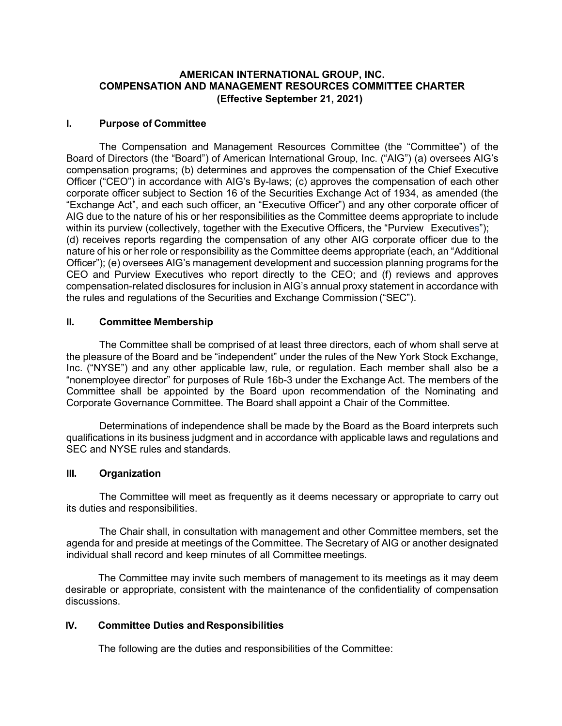## **AMERICAN INTERNATIONAL GROUP, INC. COMPENSATION AND MANAGEMENT RESOURCES COMMITTEE CHARTER (Effective September 21, 2021)**

### **I. Purpose of Committee**

The Compensation and Management Resources Committee (the "Committee") of the Board of Directors (the "Board") of American International Group, Inc. ("AIG") (a) oversees AIG's compensation programs; (b) determines and approves the compensation of the Chief Executive Officer ("CEO") in accordance with AIG's By-laws; (c) approves the compensation of each other corporate officer subject to Section 16 of the Securities Exchange Act of 1934, as amended (the "Exchange Act", and each such officer, an "Executive Officer") and any other corporate officer of AIG due to the nature of his or her responsibilities as the Committee deems appropriate to include within its purview (collectively, together with the Executive Officers, the "Purview Executives"); (d) receives reports regarding the compensation of any other AIG corporate officer due to the nature of his or her role or responsibility as the Committee deems appropriate (each, an "Additional Officer"); (e) oversees AIG's management development and succession planning programs for the CEO and Purview Executives who report directly to the CEO; and (f) reviews and approves compensation-related disclosures for inclusion in AIG's annual proxy statement in accordance with the rules and regulations of the Securities and Exchange Commission ("SEC").

#### **II. Committee Membership**

The Committee shall be comprised of at least three directors, each of whom shall serve at the pleasure of the Board and be "independent" under the rules of the New York Stock Exchange, Inc. ("NYSE") and any other applicable law, rule, or regulation. Each member shall also be a "nonemployee director" for purposes of Rule 16b-3 under the Exchange Act. The members of the Committee shall be appointed by the Board upon recommendation of the Nominating and Corporate Governance Committee. The Board shall appoint a Chair of the Committee.

Determinations of independence shall be made by the Board as the Board interprets such qualifications in its business judgment and in accordance with applicable laws and regulations and SEC and NYSE rules and standards.

#### **III. Organization**

The Committee will meet as frequently as it deems necessary or appropriate to carry out its duties and responsibilities.

The Chair shall, in consultation with management and other Committee members, set the agenda for and preside at meetings of the Committee. The Secretary of AIG or another designated individual shall record and keep minutes of all Committee meetings.

The Committee may invite such members of management to its meetings as it may deem desirable or appropriate, consistent with the maintenance of the confidentiality of compensation discussions.

# **IV.** Committee Duties and Responsibilities

The following are the duties and responsibilities of the Committee: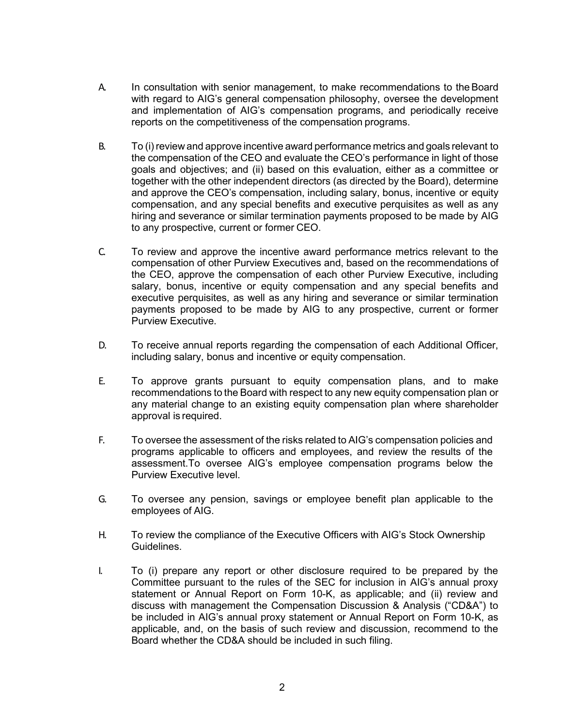- A. In consultation with senior management, to make recommendations to theBoard with regard to AIG's general compensation philosophy, oversee the development and implementation of AIG's compensation programs, and periodically receive reports on the competitiveness of the compensation programs.
- B. To (i) review and approve incentive award performance metrics and goals relevant to the compensation of the CEO and evaluate the CEO's performance in light of those goals and objectives; and (ii) based on this evaluation, either as a committee or together with the other independent directors (as directed by the Board), determine and approve the CEO's compensation, including salary, bonus, incentive or equity compensation, and any special benefits and executive perquisites as well as any hiring and severance or similar termination payments proposed to be made by AIG to any prospective, current or former CEO.
- C. To review and approve the incentive award performance metrics relevant to the compensation of other Purview Executives and, based on the recommendations of the CEO, approve the compensation of each other Purview Executive, including salary, bonus, incentive or equity compensation and any special benefits and executive perquisites, as well as any hiring and severance or similar termination payments proposed to be made by AIG to any prospective, current or former Purview Executive.
- D. To receive annual reports regarding the compensation of each Additional Officer, including salary, bonus and incentive or equity compensation.
- E. To approve grants pursuant to equity compensation plans, and to make recommendations to the Board with respect to any new equity compensation plan or any material change to an existing equity compensation plan where shareholder approval is required.
- F. To oversee the assessment of the risks related to AIG's compensation policies and programs applicable to officers and employees, and review the results of the assessment.To oversee AIG's employee compensation programs below the Purview Executive level.
- G. To oversee any pension, savings or employee benefit plan applicable to the employees of AIG.
- H. To review the compliance of the Executive Officers with AIG's Stock Ownership Guidelines.
- I. To (i) prepare any report or other disclosure required to be prepared by the Committee pursuant to the rules of the SEC for inclusion in AIG's annual proxy statement or Annual Report on Form 10-K, as applicable; and (ii) review and discuss with management the Compensation Discussion & Analysis ("CD&A") to be included in AIG's annual proxy statement or Annual Report on Form 10-K, as applicable, and, on the basis of such review and discussion, recommend to the Board whether the CD&A should be included in such filing.